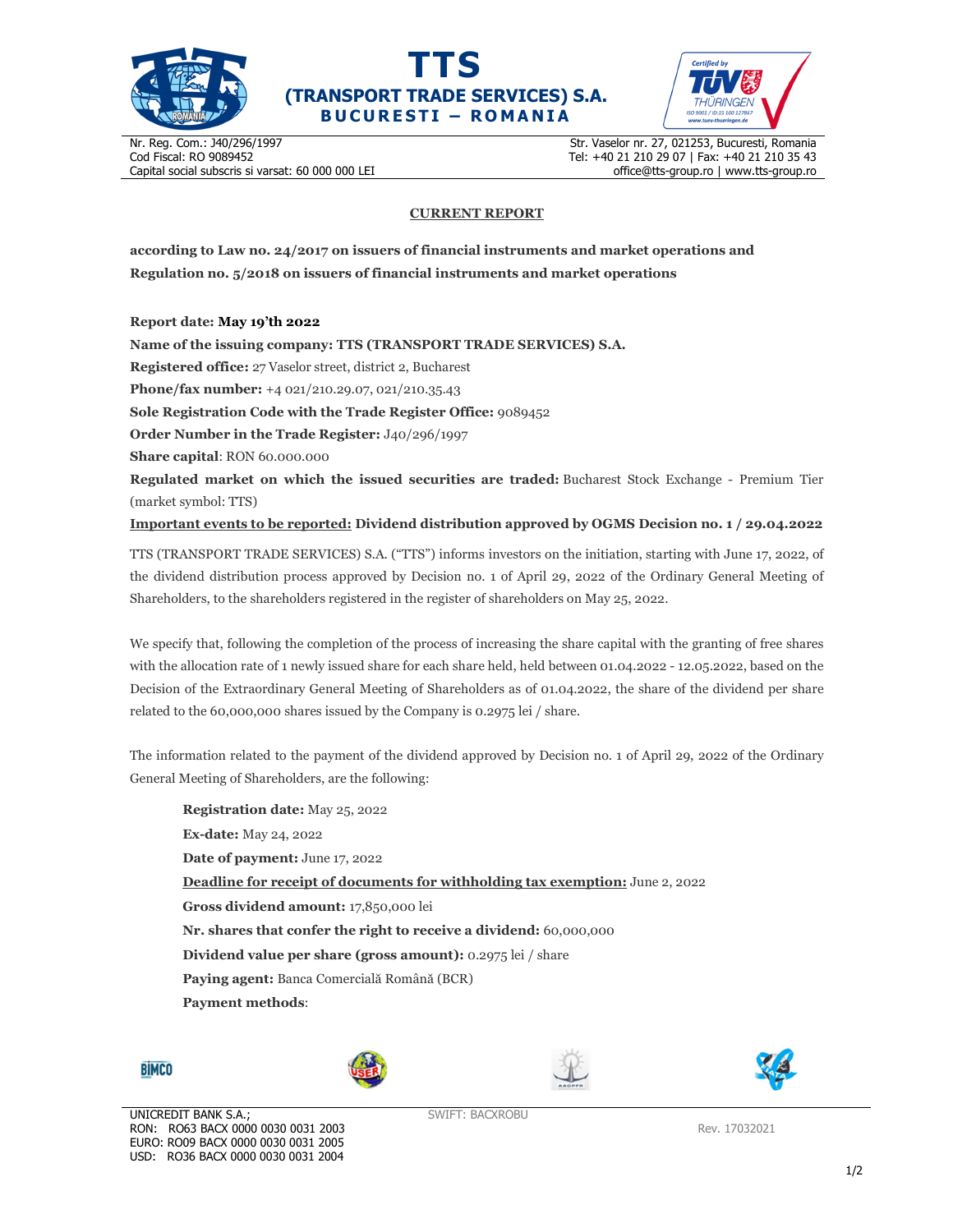





Nr. Reg. Com.: J40/296/1997 Cod Fiscal: RO 9089452 Capital social subscris si varsat: 60 000 000 LEI Str. Vaselor nr. 27, 021253, Bucuresti, Romania Tel: +40 21 210 29 07 | Fax: +40 21 210 35 43 office@tts-group.ro | www.tts-group.ro

## **CURRENT REPORT**

**according to Law no. 24/2017 on issuers of financial instruments and market operations and Regulation no. 5/2018 on issuers of financial instruments and market operations** 

**Report date: May 19'th 2022**

**Name of the issuing company: TTS (TRANSPORT TRADE SERVICES) S.A.**

**Registered office:** 27 Vaselor street, district 2, Bucharest

**Phone/fax number:** +4 021/210.29.07, 021/210.35.43

**Sole Registration Code with the Trade Register Office:** 9089452

**Order Number in the Trade Register:** J40/296/1997

**Share capital**: RON 60.000.000

**Regulated market on which the issued securities are traded:** Bucharest Stock Exchange - Premium Tier (market symbol: TTS)

**Important events to be reported: Dividend distribution approved by OGMS Decision no. 1 / 29.04.2022**

TTS (TRANSPORT TRADE SERVICES) S.A. ("TTS") informs investors on the initiation, starting with June 17, 2022, of the dividend distribution process approved by Decision no. 1 of April 29, 2022 of the Ordinary General Meeting of Shareholders, to the shareholders registered in the register of shareholders on May 25, 2022.

We specify that, following the completion of the process of increasing the share capital with the granting of free shares with the allocation rate of 1 newly issued share for each share held, held between 01.04.2022 - 12.05.2022, based on the Decision of the Extraordinary General Meeting of Shareholders as of 01.04.2022, the share of the dividend per share related to the 60,000,000 shares issued by the Company is 0.2975 lei / share.

The information related to the payment of the dividend approved by Decision no. 1 of April 29, 2022 of the Ordinary General Meeting of Shareholders, are the following:

| <b>Registration date:</b> May 25, 2022                                               |
|--------------------------------------------------------------------------------------|
| <b>Ex-date:</b> May 24, 2022                                                         |
| <b>Date of payment:</b> June 17, 2022                                                |
| <b>Deadline for receipt of documents for withholding tax exemption:</b> June 2, 2022 |
| <b>Gross dividend amount: 17,850,000 lei</b>                                         |
| Nr. shares that confer the right to receive a dividend: 60,000,000                   |
| <b>Dividend value per share (gross amount):</b> 0.2975 lei / share                   |
| <b>Paving agent:</b> Banca Comercială Română (BCR)                                   |
| <b>Payment methods:</b>                                                              |
|                                                                                      |









SWIFT: BACXROBU